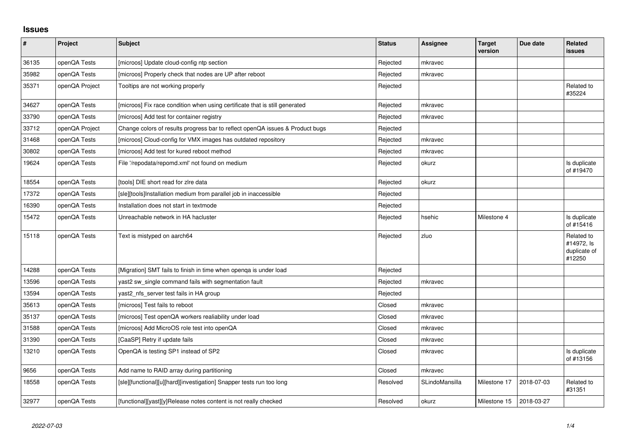## **Issues**

| $\sharp$ | Project        | <b>Subject</b>                                                                | <b>Status</b> | Assignee       | <b>Target</b><br>version | Due date   | <b>Related</b><br><b>issues</b>                    |
|----------|----------------|-------------------------------------------------------------------------------|---------------|----------------|--------------------------|------------|----------------------------------------------------|
| 36135    | openQA Tests   | [microos] Update cloud-config ntp section                                     | Rejected      | mkravec        |                          |            |                                                    |
| 35982    | openQA Tests   | [microos] Properly check that nodes are UP after reboot                       | Rejected      | mkravec        |                          |            |                                                    |
| 35371    | openQA Project | Tooltips are not working properly                                             | Rejected      |                |                          |            | Related to<br>#35224                               |
| 34627    | openQA Tests   | [microos] Fix race condition when using certificate that is still generated   | Rejected      | mkravec        |                          |            |                                                    |
| 33790    | openQA Tests   | [microos] Add test for container registry                                     | Rejected      | mkravec        |                          |            |                                                    |
| 33712    | openQA Project | Change colors of results progress bar to reflect openQA issues & Product bugs | Rejected      |                |                          |            |                                                    |
| 31468    | openQA Tests   | [microos] Cloud-config for VMX images has outdated repository                 | Rejected      | mkravec        |                          |            |                                                    |
| 30802    | openQA Tests   | [microos] Add test for kured reboot method                                    | Rejected      | mkravec        |                          |            |                                                    |
| 19624    | openQA Tests   | File '/repodata/repomd.xml' not found on medium                               | Rejected      | okurz          |                          |            | Is duplicate<br>of #19470                          |
| 18554    | openQA Tests   | [tools] DIE short read for zire data                                          | Rejected      | okurz          |                          |            |                                                    |
| 17372    | openQA Tests   | [sle][tools]Installation medium from parallel job in inaccessible             | Rejected      |                |                          |            |                                                    |
| 16390    | openQA Tests   | Installation does not start in textmode                                       | Rejected      |                |                          |            |                                                    |
| 15472    | openQA Tests   | Unreachable network in HA hacluster                                           | Rejected      | hsehic         | Milestone 4              |            | Is duplicate<br>of #15416                          |
| 15118    | openQA Tests   | Text is mistyped on aarch64                                                   | Rejected      | zluo           |                          |            | Related to<br>#14972, Is<br>duplicate of<br>#12250 |
| 14288    | openQA Tests   | [Migration] SMT fails to finish in time when openga is under load             | Rejected      |                |                          |            |                                                    |
| 13596    | openQA Tests   | yast2 sw single command fails with segmentation fault                         | Rejected      | mkravec        |                          |            |                                                    |
| 13594    | openQA Tests   | yast2_nfs_server test fails in HA group                                       | Rejected      |                |                          |            |                                                    |
| 35613    | openQA Tests   | [microos] Test fails to reboot                                                | Closed        | mkravec        |                          |            |                                                    |
| 35137    | openQA Tests   | [microos] Test openQA workers realiability under load                         | Closed        | mkravec        |                          |            |                                                    |
| 31588    | openQA Tests   | [microos] Add MicroOS role test into openQA                                   | Closed        | mkravec        |                          |            |                                                    |
| 31390    | openQA Tests   | [CaaSP] Retry if update fails                                                 | Closed        | mkravec        |                          |            |                                                    |
| 13210    | openQA Tests   | OpenQA is testing SP1 instead of SP2                                          | Closed        | mkravec        |                          |            | Is duplicate<br>of #13156                          |
| 9656     | openQA Tests   | Add name to RAID array during partitioning                                    | Closed        | mkravec        |                          |            |                                                    |
| 18558    | openQA Tests   | [sle][functional][u][hard][investigation] Snapper tests run too long          | Resolved      | SLindoMansilla | Milestone 17             | 2018-07-03 | Related to<br>#31351                               |
| 32977    | openQA Tests   | [functional][yast][y]Release notes content is not really checked              | Resolved      | okurz          | Milestone 15             | 2018-03-27 |                                                    |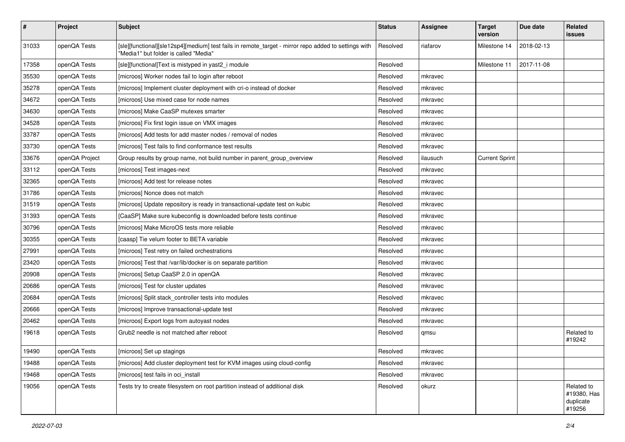| $\pmb{\#}$ | Project        | <b>Subject</b>                                                                                                                                | <b>Status</b> | Assignee | <b>Target</b><br>version | Due date   | Related<br>issues                                |
|------------|----------------|-----------------------------------------------------------------------------------------------------------------------------------------------|---------------|----------|--------------------------|------------|--------------------------------------------------|
| 31033      | openQA Tests   | [sle][functional][sle12sp4][medium] test fails in remote_target - mirror repo added to settings with<br>"Media1" but folder is called "Media" | Resolved      | riafarov | Milestone 14             | 2018-02-13 |                                                  |
| 17358      | openQA Tests   | [sle][functional]Text is mistyped in yast2_i module                                                                                           | Resolved      |          | Milestone 11             | 2017-11-08 |                                                  |
| 35530      | openQA Tests   | [microos] Worker nodes fail to login after reboot                                                                                             | Resolved      | mkravec  |                          |            |                                                  |
| 35278      | openQA Tests   | [microos] Implement cluster deployment with cri-o instead of docker                                                                           | Resolved      | mkravec  |                          |            |                                                  |
| 34672      | openQA Tests   | [microos] Use mixed case for node names                                                                                                       | Resolved      | mkravec  |                          |            |                                                  |
| 34630      | openQA Tests   | [microos] Make CaaSP mutexes smarter                                                                                                          | Resolved      | mkravec  |                          |            |                                                  |
| 34528      | openQA Tests   | [microos] Fix first login issue on VMX images                                                                                                 | Resolved      | mkravec  |                          |            |                                                  |
| 33787      | openQA Tests   | [microos] Add tests for add master nodes / removal of nodes                                                                                   | Resolved      | mkravec  |                          |            |                                                  |
| 33730      | openQA Tests   | [microos] Test fails to find conformance test results                                                                                         | Resolved      | mkravec  |                          |            |                                                  |
| 33676      | openQA Project | Group results by group name, not build number in parent_group_overview                                                                        | Resolved      | ilausuch | <b>Current Sprint</b>    |            |                                                  |
| 33112      | openQA Tests   | [microos] Test images-next                                                                                                                    | Resolved      | mkravec  |                          |            |                                                  |
| 32365      | openQA Tests   | [microos] Add test for release notes                                                                                                          | Resolved      | mkravec  |                          |            |                                                  |
| 31786      | openQA Tests   | [microos] Nonce does not match                                                                                                                | Resolved      | mkravec  |                          |            |                                                  |
| 31519      | openQA Tests   | [microos] Update repository is ready in transactional-update test on kubic                                                                    | Resolved      | mkravec  |                          |            |                                                  |
| 31393      | openQA Tests   | [CaaSP] Make sure kubeconfig is downloaded before tests continue                                                                              | Resolved      | mkravec  |                          |            |                                                  |
| 30796      | openQA Tests   | [microos] Make MicroOS tests more reliable                                                                                                    | Resolved      | mkravec  |                          |            |                                                  |
| 30355      | openQA Tests   | [caasp] Tie velum footer to BETA variable                                                                                                     | Resolved      | mkravec  |                          |            |                                                  |
| 27991      | openQA Tests   | [microos] Test retry on failed orchestrations                                                                                                 | Resolved      | mkravec  |                          |            |                                                  |
| 23420      | openQA Tests   | [microos] Test that /var/lib/docker is on separate partition                                                                                  | Resolved      | mkravec  |                          |            |                                                  |
| 20908      | openQA Tests   | [microos] Setup CaaSP 2.0 in openQA                                                                                                           | Resolved      | mkravec  |                          |            |                                                  |
| 20686      | openQA Tests   | [microos] Test for cluster updates                                                                                                            | Resolved      | mkravec  |                          |            |                                                  |
| 20684      | openQA Tests   | [microos] Split stack controller tests into modules                                                                                           | Resolved      | mkravec  |                          |            |                                                  |
| 20666      | openQA Tests   | [microos] Improve transactional-update test                                                                                                   | Resolved      | mkravec  |                          |            |                                                  |
| 20462      | openQA Tests   | [microos] Export logs from autoyast nodes                                                                                                     | Resolved      | mkravec  |                          |            |                                                  |
| 19618      | openQA Tests   | Grub2 needle is not matched after reboot                                                                                                      | Resolved      | qmsu     |                          |            | Related to<br>#19242                             |
| 19490      | openQA Tests   | [microos] Set up stagings                                                                                                                     | Resolved      | mkravec  |                          |            |                                                  |
| 19488      | openQA Tests   | [microos] Add cluster deployment test for KVM images using cloud-config                                                                       | Resolved      | mkravec  |                          |            |                                                  |
| 19468      | openQA Tests   | [microos] test fails in oci_install                                                                                                           | Resolved      | mkravec  |                          |            |                                                  |
| 19056      | openQA Tests   | Tests try to create filesystem on root partition instead of additional disk                                                                   | Resolved      | okurz    |                          |            | Related to<br>#19380, Has<br>duplicate<br>#19256 |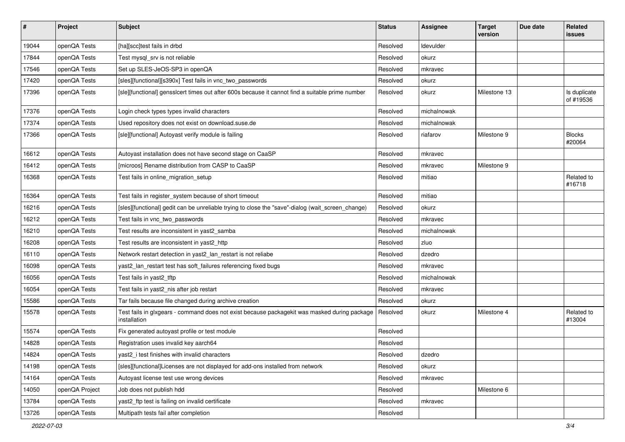| $\sharp$ | Project        | <b>Subject</b>                                                                                               | <b>Status</b> | <b>Assignee</b> | <b>Target</b><br>version | Due date | Related<br>issues         |
|----------|----------------|--------------------------------------------------------------------------------------------------------------|---------------|-----------------|--------------------------|----------|---------------------------|
| 19044    | openQA Tests   | [ha][scc]test fails in drbd                                                                                  | Resolved      | Idevulder       |                          |          |                           |
| 17844    | openQA Tests   | Test mysql_srv is not reliable                                                                               | Resolved      | okurz           |                          |          |                           |
| 17546    | openQA Tests   | Set up SLES-JeOS-SP3 in openQA                                                                               | Resolved      | mkravec         |                          |          |                           |
| 17420    | openQA Tests   | [sles][functional][s390x] Test fails in vnc_two_passwords                                                    | Resolved      | okurz           |                          |          |                           |
| 17396    | openQA Tests   | [sle][functional] gensslcert times out after 600s because it cannot find a suitable prime number             | Resolved      | okurz           | Milestone 13             |          | Is duplicate<br>of #19536 |
| 17376    | openQA Tests   | Login check types types invalid characters                                                                   | Resolved      | michalnowak     |                          |          |                           |
| 17374    | openQA Tests   | Used repository does not exist on download.suse.de                                                           | Resolved      | michalnowak     |                          |          |                           |
| 17366    | openQA Tests   | [sle][functional] Autoyast verify module is failing                                                          | Resolved      | riafarov        | Milestone 9              |          | <b>Blocks</b><br>#20064   |
| 16612    | openQA Tests   | Autoyast installation does not have second stage on CaaSP                                                    | Resolved      | mkravec         |                          |          |                           |
| 16412    | openQA Tests   | [microos] Rename distribution from CASP to CaaSP                                                             | Resolved      | mkravec         | Milestone 9              |          |                           |
| 16368    | openQA Tests   | Test fails in online_migration_setup                                                                         | Resolved      | mitiao          |                          |          | Related to<br>#16718      |
| 16364    | openQA Tests   | Test fails in register_system because of short timeout                                                       | Resolved      | mitiao          |                          |          |                           |
| 16216    | openQA Tests   | [sles][functional] gedit can be unreliable trying to close the "save"-dialog (wait_screen_change)            | Resolved      | okurz           |                          |          |                           |
| 16212    | openQA Tests   | Test fails in vnc_two_passwords                                                                              | Resolved      | mkravec         |                          |          |                           |
| 16210    | openQA Tests   | Test results are inconsistent in yast2 samba                                                                 | Resolved      | michalnowak     |                          |          |                           |
| 16208    | openQA Tests   | Test results are inconsistent in yast2 http                                                                  | Resolved      | zluo            |                          |          |                           |
| 16110    | openQA Tests   | Network restart detection in yast2_lan_restart is not reliabe                                                | Resolved      | dzedro          |                          |          |                           |
| 16098    | openQA Tests   | yast2_lan_restart test has soft_failures referencing fixed bugs                                              | Resolved      | mkravec         |                          |          |                           |
| 16056    | openQA Tests   | Test fails in yast2_tftp                                                                                     | Resolved      | michalnowak     |                          |          |                           |
| 16054    | openQA Tests   | Test fails in yast2_nis after job restart                                                                    | Resolved      | mkravec         |                          |          |                           |
| 15586    | openQA Tests   | Tar fails because file changed during archive creation                                                       | Resolved      | okurz           |                          |          |                           |
| 15578    | openQA Tests   | Test fails in glxgears - command does not exist because packagekit was masked during package<br>installation | Resolved      | okurz           | Milestone 4              |          | Related to<br>#13004      |
| 15574    | openQA Tests   | Fix generated autoyast profile or test module                                                                | Resolved      |                 |                          |          |                           |
| 14828    | openQA Tests   | Registration uses invalid key aarch64                                                                        | Resolved      |                 |                          |          |                           |
| 14824    | openQA Tests   | yast2_i test finishes with invalid characters                                                                | Resolved      | dzedro          |                          |          |                           |
| 14198    | openQA Tests   | [sles][functional]Licenses are not displayed for add-ons installed from network                              | Resolved      | okurz           |                          |          |                           |
| 14164    | openQA Tests   | Autoyast license test use wrong devices                                                                      | Resolved      | mkravec         |                          |          |                           |
| 14050    | openQA Project | Job does not publish hdd                                                                                     | Resolved      |                 | Milestone 6              |          |                           |
| 13784    | openQA Tests   | yast2_ftp test is failing on invalid certificate                                                             | Resolved      | mkravec         |                          |          |                           |
| 13726    | openQA Tests   | Multipath tests fail after completion                                                                        | Resolved      |                 |                          |          |                           |